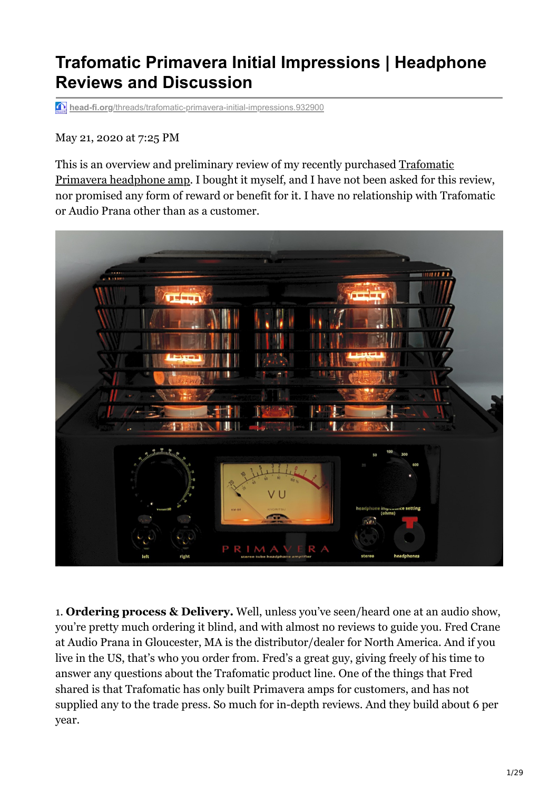## **Trafomatic Primavera Initial Impressions | Headphone Reviews and Discussion**

**head-fi.org**[/threads/trafomatic-primavera-initial-impressions.932900](https://www.head-fi.org/threads/trafomatic-primavera-initial-impressions.932900/?fbclid=IwAR0X9jq2wt7xC3qTvK_lzhHwG8vWc9CrezbP8g231DuYIYlvIlq1Yz8B_oM)

May 21, 2020 at 7:25 PM

This is an overview and preliminary review of my recently purchased Trafomatic [Primavera headphone amp. I bought it myself, and I have not been asked for this](https://www.trafomaticaudio.com/products/primavera/?portfolioCats=15) review, nor promised any form of reward or benefit for it. I have no relationship with Trafomatic or Audio Prana other than as a customer.



1. **Ordering process & Delivery.** Well, unless you've seen/heard one at an audio show, you're pretty much ordering it blind, and with almost no reviews to guide you. Fred Crane at Audio Prana in Gloucester, MA is the distributor/dealer for North America. And if you live in the US, that's who you order from. Fred's a great guy, giving freely of his time to answer any questions about the Trafomatic product line. One of the things that Fred shared is that Trafomatic has only built Primavera amps for customers, and has not supplied any to the trade press. So much for in-depth reviews. And they build about 6 per year.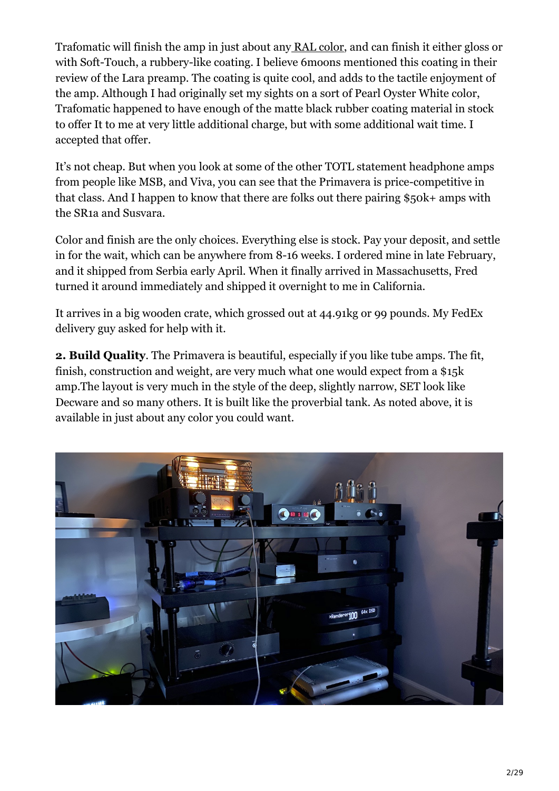Trafomatic will finish the amp in just about any [RAL color](https://www.ralcolor.com/), and can finish it either gloss or with Soft-Touch, a rubbery-like coating. I believe 6moons mentioned this coating in their review of the Lara preamp. The coating is quite cool, and adds to the tactile enjoyment of the amp. Although I had originally set my sights on a sort of Pearl Oyster White color, Trafomatic happened to have enough of the matte black rubber coating material in stock to offer It to me at very little additional charge, but with some additional wait time. I accepted that offer.

It's not cheap. But when you look at some of the other TOTL statement headphone amps from people like MSB, and Viva, you can see that the Primavera is price-competitive in that class. And I happen to know that there are folks out there pairing \$50k+ amps with the SR1a and Susvara.

Color and finish are the only choices. Everything else is stock. Pay your deposit, and settle in for the wait, which can be anywhere from 8-16 weeks. I ordered mine in late February, and it shipped from Serbia early April. When it finally arrived in Massachusetts, Fred turned it around immediately and shipped it overnight to me in California.

It arrives in a big wooden crate, which grossed out at 44.91kg or 99 pounds. My FedEx delivery guy asked for help with it.

**2. Build Quality**. The Primavera is beautiful, especially if you like tube amps. The fit, finish, construction and weight, are very much what one would expect from a \$15k amp.The layout is very much in the style of the deep, slightly narrow, SET look like Decware and so many others. It is built like the proverbial tank. As noted above, it is available in just about any color you could want.

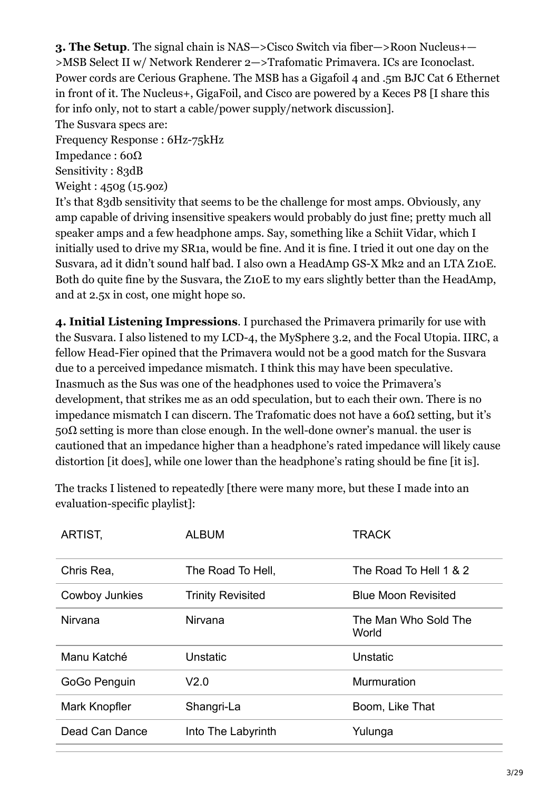**3. The Setup**. The signal chain is NAS—>Cisco Switch via fiber—>Roon Nucleus+— >MSB Select II w/ Network Renderer 2—>Trafomatic Primavera. ICs are Iconoclast. Power cords are Cerious Graphene. The MSB has a Gigafoil 4 and .5m BJC Cat 6 Ethernet in front of it. The Nucleus+, GigaFoil, and Cisco are powered by a Keces P8 [I share this for info only, not to start a cable/power supply/network discussion].

The Susvara specs are:

Frequency Response : 6Hz-75kHz Impedance : 60Ω

Sensitivity : 83dB

Weight : 450g (15.9oz)

It's that 83db sensitivity that seems to be the challenge for most amps. Obviously, any amp capable of driving insensitive speakers would probably do just fine; pretty much all speaker amps and a few headphone amps. Say, something like a Schiit Vidar, which I initially used to drive my SR1a, would be fine. And it is fine. I tried it out one day on the Susvara, ad it didn't sound half bad. I also own a HeadAmp GS-X Mk2 and an LTA Z10E. Both do quite fine by the Susvara, the Z10E to my ears slightly better than the HeadAmp, and at 2.5x in cost, one might hope so.

**4. Initial Listening Impressions**. I purchased the Primavera primarily for use with the Susvara. I also listened to my LCD-4, the MySphere 3.2, and the Focal Utopia. IIRC, a fellow Head-Fier opined that the Primavera would not be a good match for the Susvara due to a perceived impedance mismatch. I think this may have been speculative. Inasmuch as the Sus was one of the headphones used to voice the Primavera's development, that strikes me as an odd speculation, but to each their own. There is no impedance mismatch I can discern. The Trafomatic does not have a 60Ω setting, but it's 50Ω setting is more than close enough. In the well-done owner's manual, the user is cautioned that an impedance higher than a headphone's rated impedance will likely cause distortion [it does], while one lower than the headphone's rating should be fine [it is].

The tracks I listened to repeatedly [there were many more, but these I made into an evaluation-specific playlist]:

| <b>ARTIST,</b> | <b>ALBUM</b>             | <b>TRACK</b>                  |
|----------------|--------------------------|-------------------------------|
| Chris Rea,     | The Road To Hell,        | The Road To Hell 1 & 2        |
| Cowboy Junkies | <b>Trinity Revisited</b> | <b>Blue Moon Revisited</b>    |
| Nirvana        | Nirvana                  | The Man Who Sold The<br>World |
| Manu Katché    | Unstatic                 | Unstatic                      |
| GoGo Penguin   | V <sub>2.0</sub>         | Murmuration                   |
| Mark Knopfler  | Shangri-La               | Boom, Like That               |
| Dead Can Dance | Into The Labyrinth       | Yulunga                       |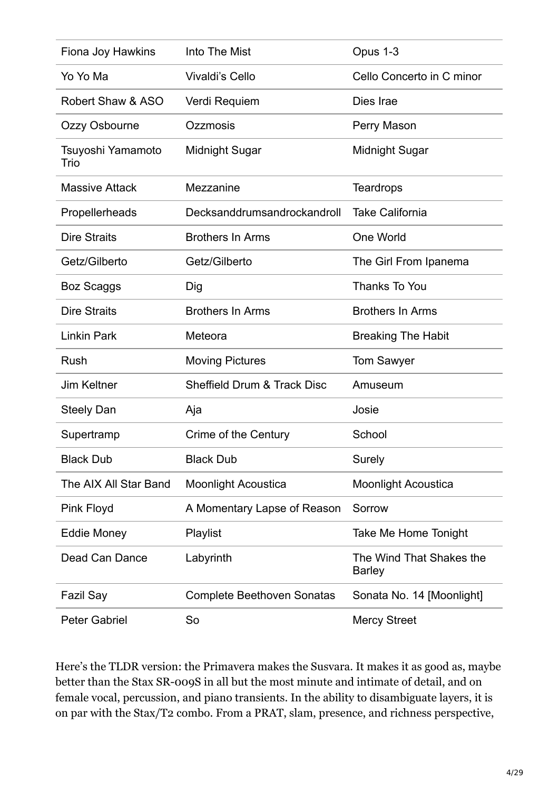| Fiona Joy Hawkins         | Into The Mist                          | Opus 1-3                                  |
|---------------------------|----------------------------------------|-------------------------------------------|
| Yo Yo Ma                  | <b>Vivaldi's Cello</b>                 | Cello Concerto in C minor                 |
| Robert Shaw & ASO         | Verdi Requiem                          | Dies Irae                                 |
| Ozzy Osbourne             | Ozzmosis                               | Perry Mason                               |
| Tsuyoshi Yamamoto<br>Trio | <b>Midnight Sugar</b>                  | <b>Midnight Sugar</b>                     |
| <b>Massive Attack</b>     | Mezzanine                              | <b>Teardrops</b>                          |
| Propellerheads            | Decksanddrumsandrockandroll            | <b>Take California</b>                    |
| <b>Dire Straits</b>       | <b>Brothers In Arms</b>                | One World                                 |
| Getz/Gilberto             | Getz/Gilberto                          | The Girl From Ipanema                     |
| <b>Boz Scaggs</b>         | Dig                                    | Thanks To You                             |
| <b>Dire Straits</b>       | <b>Brothers In Arms</b>                | <b>Brothers In Arms</b>                   |
| <b>Linkin Park</b>        | Meteora                                | <b>Breaking The Habit</b>                 |
| Rush                      | <b>Moving Pictures</b>                 | <b>Tom Sawyer</b>                         |
| <b>Jim Keltner</b>        | <b>Sheffield Drum &amp; Track Disc</b> | Amuseum                                   |
| <b>Steely Dan</b>         | Aja                                    | Josie                                     |
| Supertramp                | Crime of the Century                   | School                                    |
| <b>Black Dub</b>          | <b>Black Dub</b>                       | <b>Surely</b>                             |
| The AIX All Star Band     | <b>Moonlight Acoustica</b>             | <b>Moonlight Acoustica</b>                |
| Pink Floyd                | A Momentary Lapse of Reason            | Sorrow                                    |
| Eddie Money               | Playlist                               | Take Me Home Tonight                      |
| Dead Can Dance            | Labyrinth                              | The Wind That Shakes the<br><b>Barley</b> |
| <b>Fazil Say</b>          | <b>Complete Beethoven Sonatas</b>      | Sonata No. 14 [Moonlight]                 |
| <b>Peter Gabriel</b>      | So                                     | <b>Mercy Street</b>                       |

Here's the TLDR version: the Primavera makes the Susvara. It makes it as good as, maybe better than the Stax SR-009S in all but the most minute and intimate of detail, and on female vocal, percussion, and piano transients. In the ability to disambiguate layers, it is on par with the Stax/T2 combo. From a PRAT, slam, presence, and richness perspective,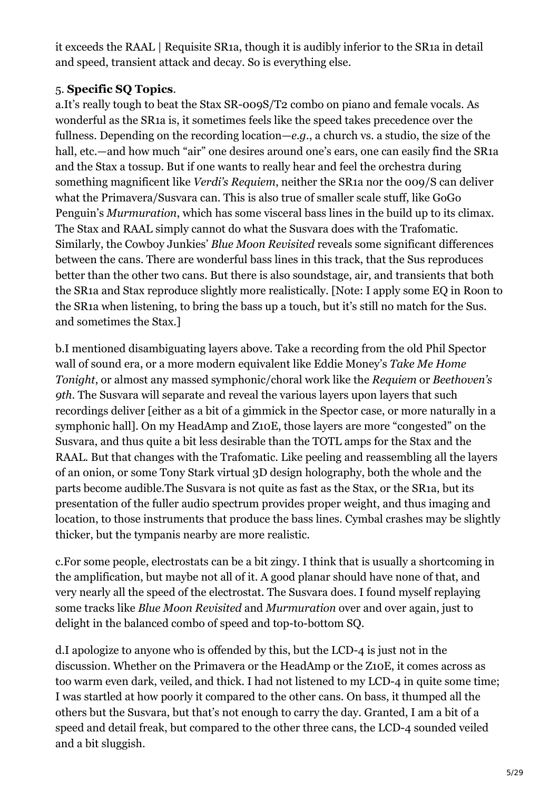it exceeds the RAAL | Requisite SR1a, though it is audibly inferior to the SR1a in detail and speed, transient attack and decay. So is everything else.

## 5. **Specific SQ Topics**.

a.It's really tough to beat the Stax SR-009S/T2 combo on piano and female vocals. As wonderful as the SR1a is, it sometimes feels like the speed takes precedence over the fullness. Depending on the recording location—*e.g.*, a church vs. a studio, the size of the hall, etc.—and how much "air" one desires around one's ears, one can easily find the SR1a and the Stax a tossup. But if one wants to really hear and feel the orchestra during something magnificent like *Verdi's Requiem*, neither the SR1a nor the 009/S can deliver what the Primavera/Susvara can. This is also true of smaller scale stuff, like GoGo Penguin's *Murmuration*, which has some visceral bass lines in the build up to its climax. The Stax and RAAL simply cannot do what the Susvara does with the Trafomatic. Similarly, the Cowboy Junkies' *Blue Moon Revisited* reveals some significant differences between the cans. There are wonderful bass lines in this track, that the Sus reproduces better than the other two cans. But there is also soundstage, air, and transients that both the SR1a and Stax reproduce slightly more realistically. [Note: I apply some EQ in Roon to the SR1a when listening, to bring the bass up a touch, but it's still no match for the Sus. and sometimes the Stax.]

b.I mentioned disambiguating layers above. Take a recording from the old Phil Spector wall of sound era, or a more modern equivalent like Eddie Money's *Take Me Home Tonight*, or almost any massed symphonic/choral work like the *Requiem* or *Beethoven's 9th*. The Susvara will separate and reveal the various layers upon layers that such recordings deliver [either as a bit of a gimmick in the Spector case, or more naturally in a symphonic hall]. On my HeadAmp and Z10E, those layers are more "congested" on the Susvara, and thus quite a bit less desirable than the TOTL amps for the Stax and the RAAL. But that changes with the Trafomatic. Like peeling and reassembling all the layers of an onion, or some Tony Stark virtual 3D design holography, both the whole and the parts become audible.The Susvara is not quite as fast as the Stax, or the SR1a, but its presentation of the fuller audio spectrum provides proper weight, and thus imaging and location, to those instruments that produce the bass lines. Cymbal crashes may be slightly thicker, but the tympanis nearby are more realistic.

c.For some people, electrostats can be a bit zingy. I think that is usually a shortcoming in the amplification, but maybe not all of it. A good planar should have none of that, and very nearly all the speed of the electrostat. The Susvara does. I found myself replaying some tracks like *Blue Moon Revisited* and *Murmuration* over and over again, just to delight in the balanced combo of speed and top-to-bottom SQ.

d.I apologize to anyone who is offended by this, but the LCD-4 is just not in the discussion. Whether on the Primavera or the HeadAmp or the Z10E, it comes across as too warm even dark, veiled, and thick. I had not listened to my LCD-4 in quite some time; I was startled at how poorly it compared to the other cans. On bass, it thumped all the others but the Susvara, but that's not enough to carry the day. Granted, I am a bit of a speed and detail freak, but compared to the other three cans, the LCD-4 sounded veiled and a bit sluggish.